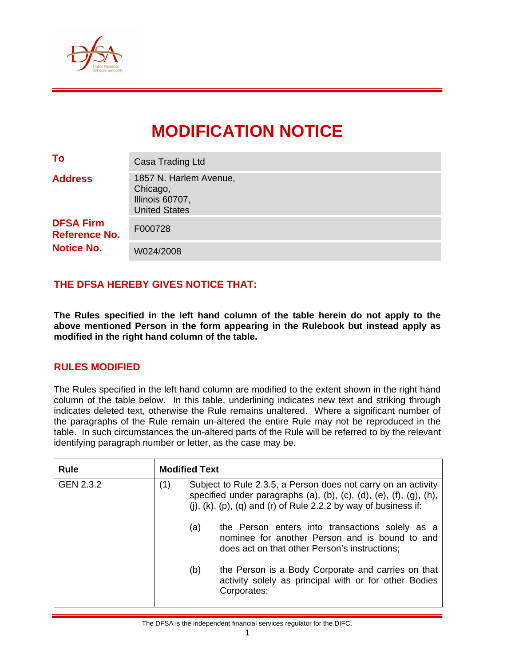

# **MODIFICATION NOTICE**

| To                                       | Casa Trading Ltd                                                              |
|------------------------------------------|-------------------------------------------------------------------------------|
| <b>Address</b>                           | 1857 N. Harlem Avenue,<br>Chicago,<br>Illinois 60707,<br><b>United States</b> |
| <b>DFSA Firm</b><br><b>Reference No.</b> | F000728                                                                       |
| <b>Notice No.</b>                        | W024/2008                                                                     |

# **THE DFSA HEREBY GIVES NOTICE THAT:**

**The Rules specified in the left hand column of the table herein do not apply to the above mentioned Person in the form appearing in the Rulebook but instead apply as modified in the right hand column of the table.** 

## **RULES MODIFIED**

The Rules specified in the left hand column are modified to the extent shown in the right hand column of the table below. In this table, underlining indicates new text and striking through indicates deleted text, otherwise the Rule remains unaltered. Where a significant number of the paragraphs of the Rule remain un-altered the entire Rule may not be reproduced in the table. In such circumstances the un-altered parts of the Rule will be referred to by the relevant identifying paragraph number or letter, as the case may be.

| <b>Rule</b> | <b>Modified Text</b> |                                                                                                                                                                                                                                          |                                                                                                                                                    |  |  |  |  |  |  |
|-------------|----------------------|------------------------------------------------------------------------------------------------------------------------------------------------------------------------------------------------------------------------------------------|----------------------------------------------------------------------------------------------------------------------------------------------------|--|--|--|--|--|--|
| GEN 2.3.2   | (1)                  | Subject to Rule 2.3.5, a Person does not carry on an activity<br>specified under paragraphs $(a)$ , $(b)$ , $(c)$ , $(d)$ , $(e)$ , $(f)$ , $(g)$ , $(h)$ ,<br>(j), $(k)$ , $(p)$ , $(q)$ and $(r)$ of Rule 2.2.2 by way of business if: |                                                                                                                                                    |  |  |  |  |  |  |
|             |                      | (a)                                                                                                                                                                                                                                      | the Person enters into transactions solely as a<br>nominee for another Person and is bound to and<br>does act on that other Person's instructions; |  |  |  |  |  |  |
|             |                      | (b)                                                                                                                                                                                                                                      | the Person is a Body Corporate and carries on that<br>activity solely as principal with or for other Bodies<br>Corporates:                         |  |  |  |  |  |  |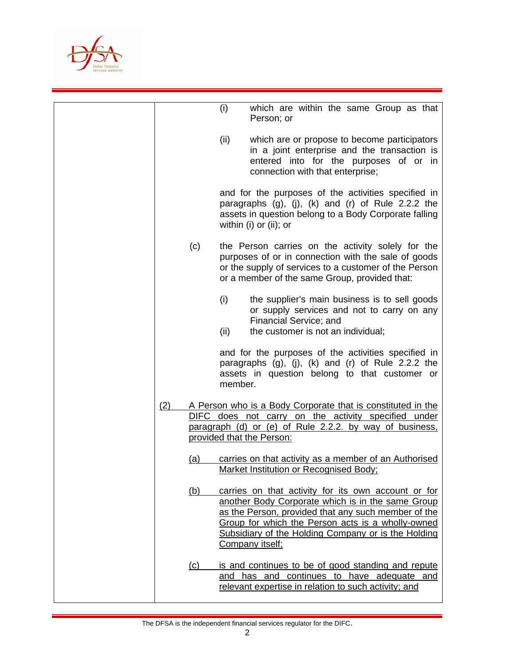

|     |     | (i)         | which are within the same Group as that<br>Person; or                                                                                                                                                                                                                                          |
|-----|-----|-------------|------------------------------------------------------------------------------------------------------------------------------------------------------------------------------------------------------------------------------------------------------------------------------------------------|
|     |     | (ii)        | which are or propose to become participators<br>in a joint enterprise and the transaction is<br>entered into for the purposes of or in<br>connection with that enterprise;                                                                                                                     |
|     |     |             | and for the purposes of the activities specified in<br>paragraphs $(g)$ , $(j)$ , $(k)$ and $(r)$ of Rule 2.2.2 the<br>assets in question belong to a Body Corporate falling<br>within (i) or (ii); or                                                                                         |
|     | (c) |             | the Person carries on the activity solely for the<br>purposes of or in connection with the sale of goods<br>or the supply of services to a customer of the Person<br>or a member of the same Group, provided that:                                                                             |
|     |     | (i)<br>(ii) | the supplier's main business is to sell goods<br>or supply services and not to carry on any<br>Financial Service; and<br>the customer is not an individual;                                                                                                                                    |
|     |     | member.     | and for the purposes of the activities specified in<br>paragraphs (g), (j), (k) and (r) of Rule 2.2.2 the<br>assets in question belong to that customer or                                                                                                                                     |
| (2) |     |             | A Person who is a Body Corporate that is constituted in the<br>DIFC does not carry on the activity specified under<br>paragraph (d) or (e) of Rule 2.2.2. by way of business,<br>provided that the Person:                                                                                     |
|     | (a) |             | carries on that activity as a member of an Authorised<br><b>Market Institution or Recognised Body:</b>                                                                                                                                                                                         |
|     | (b) |             | carries on that activity for its own account or for<br>another Body Corporate which is in the same Group<br>as the Person, provided that any such member of the<br>Group for which the Person acts is a wholly-owned<br>Subsidiary of the Holding Company or is the Holding<br>Company itself; |
|     | (C) |             | is and continues to be of good standing and repute<br>and has and continues to have adequate and<br>relevant expertise in relation to such activity; and                                                                                                                                       |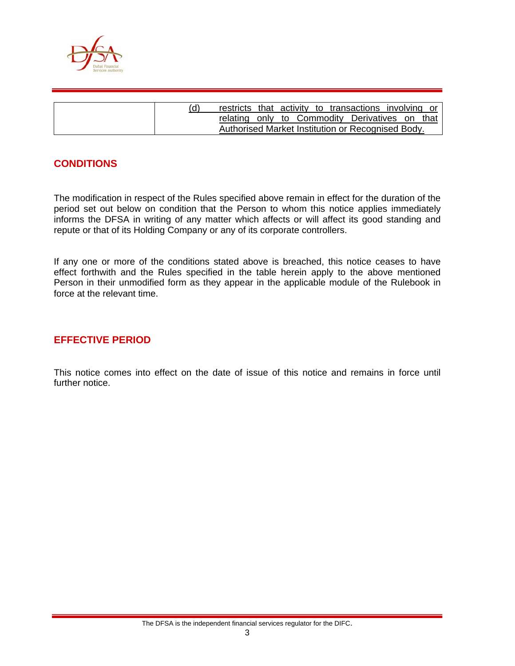

| (ď | restricts that activity to transactions involving or |  |  |  |  |  |
|----|------------------------------------------------------|--|--|--|--|--|
|    | relating only to Commodity Derivatives on that       |  |  |  |  |  |
|    | Authorised Market Institution or Recognised Body.    |  |  |  |  |  |

## **CONDITIONS**

The modification in respect of the Rules specified above remain in effect for the duration of the period set out below on condition that the Person to whom this notice applies immediately informs the DFSA in writing of any matter which affects or will affect its good standing and repute or that of its Holding Company or any of its corporate controllers.

If any one or more of the conditions stated above is breached, this notice ceases to have effect forthwith and the Rules specified in the table herein apply to the above mentioned Person in their unmodified form as they appear in the applicable module of the Rulebook in force at the relevant time.

## **EFFECTIVE PERIOD**

This notice comes into effect on the date of issue of this notice and remains in force until further notice.